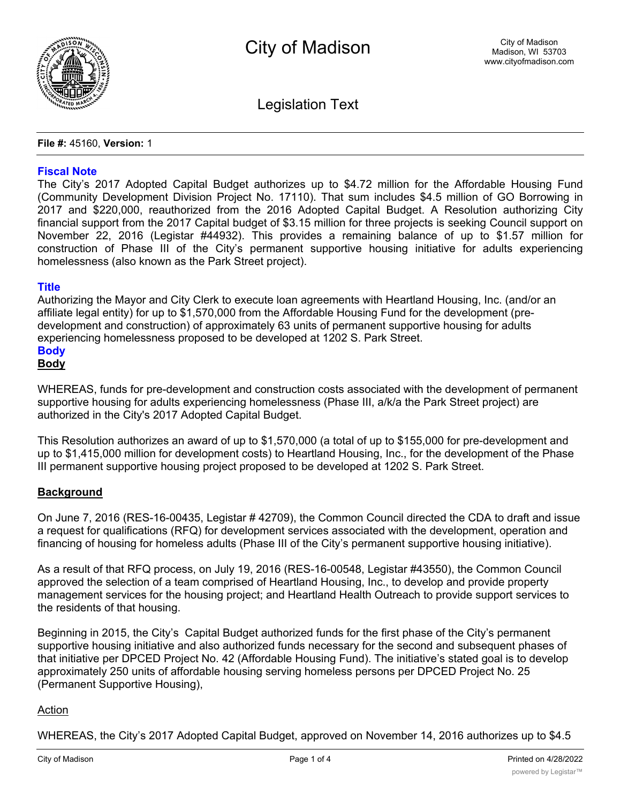

Legislation Text

**File #:** 45160, **Version:** 1

## **Fiscal Note**

The City's 2017 Adopted Capital Budget authorizes up to \$4.72 million for the Affordable Housing Fund (Community Development Division Project No. 17110). That sum includes \$4.5 million of GO Borrowing in 2017 and \$220,000, reauthorized from the 2016 Adopted Capital Budget. A Resolution authorizing City financial support from the 2017 Capital budget of \$3.15 million for three projects is seeking Council support on November 22, 2016 (Legistar #44932). This provides a remaining balance of up to \$1.57 million for construction of Phase III of the City's permanent supportive housing initiative for adults experiencing homelessness (also known as the Park Street project).

## **Title**

Authorizing the Mayor and City Clerk to execute loan agreements with Heartland Housing, Inc. (and/or an affiliate legal entity) for up to \$1,570,000 from the Affordable Housing Fund for the development (predevelopment and construction) of approximately 63 units of permanent supportive housing for adults experiencing homelessness proposed to be developed at 1202 S. Park Street.

# **Body**

# **Body**

WHEREAS, funds for pre-development and construction costs associated with the development of permanent supportive housing for adults experiencing homelessness (Phase III, a/k/a the Park Street project) are authorized in the City's 2017 Adopted Capital Budget.

This Resolution authorizes an award of up to \$1,570,000 (a total of up to \$155,000 for pre-development and up to \$1,415,000 million for development costs) to Heartland Housing, Inc., for the development of the Phase III permanent supportive housing project proposed to be developed at 1202 S. Park Street.

## **Background**

On June 7, 2016 (RES-16-00435, Legistar # 42709), the Common Council directed the CDA to draft and issue a request for qualifications (RFQ) for development services associated with the development, operation and financing of housing for homeless adults (Phase III of the City's permanent supportive housing initiative).

As a result of that RFQ process, on July 19, 2016 (RES-16-00548, Legistar #43550), the Common Council approved the selection of a team comprised of Heartland Housing, Inc., to develop and provide property management services for the housing project; and Heartland Health Outreach to provide support services to the residents of that housing.

Beginning in 2015, the City's Capital Budget authorized funds for the first phase of the City's permanent supportive housing initiative and also authorized funds necessary for the second and subsequent phases of that initiative per DPCED Project No. 42 (Affordable Housing Fund). The initiative's stated goal is to develop approximately 250 units of affordable housing serving homeless persons per DPCED Project No. 25 (Permanent Supportive Housing),

## Action

WHEREAS, the City's 2017 Adopted Capital Budget, approved on November 14, 2016 authorizes up to \$4.5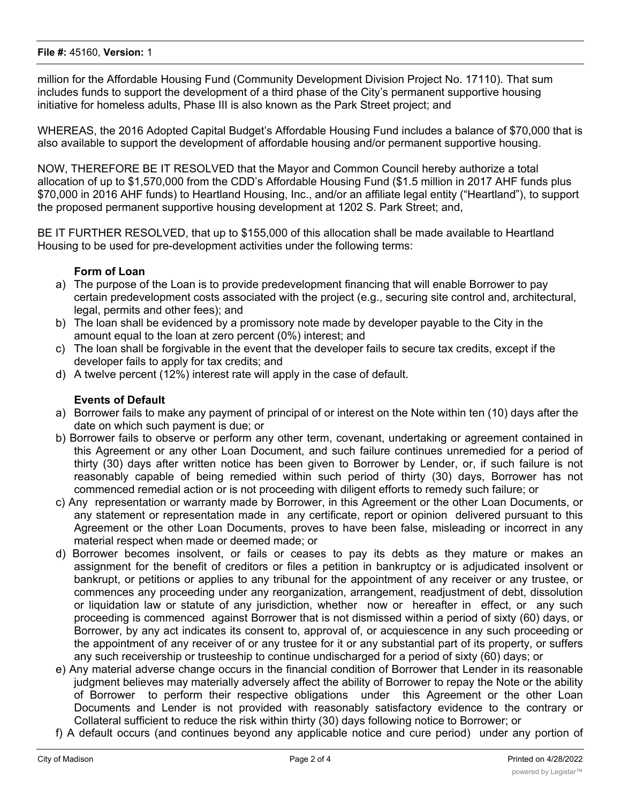million for the Affordable Housing Fund (Community Development Division Project No. 17110). That sum includes funds to support the development of a third phase of the City's permanent supportive housing initiative for homeless adults, Phase III is also known as the Park Street project; and

WHEREAS, the 2016 Adopted Capital Budget's Affordable Housing Fund includes a balance of \$70,000 that is also available to support the development of affordable housing and/or permanent supportive housing.

NOW, THEREFORE BE IT RESOLVED that the Mayor and Common Council hereby authorize a total allocation of up to \$1,570,000 from the CDD's Affordable Housing Fund (\$1.5 million in 2017 AHF funds plus \$70,000 in 2016 AHF funds) to Heartland Housing, Inc., and/or an affiliate legal entity ("Heartland"), to support the proposed permanent supportive housing development at 1202 S. Park Street; and,

BE IT FURTHER RESOLVED, that up to \$155,000 of this allocation shall be made available to Heartland Housing to be used for pre-development activities under the following terms:

# **Form of Loan**

- a) The purpose of the Loan is to provide predevelopment financing that will enable Borrower to pay certain predevelopment costs associated with the project (e.g., securing site control and, architectural, legal, permits and other fees); and
- b) The loan shall be evidenced by a promissory note made by developer payable to the City in the amount equal to the loan at zero percent (0%) interest; and
- c) The loan shall be forgivable in the event that the developer fails to secure tax credits, except if the developer fails to apply for tax credits; and
- d) A twelve percent (12%) interest rate will apply in the case of default.

## **Events of Default**

- a) Borrower fails to make any payment of principal of or interest on the Note within ten (10) days after the date on which such payment is due; or
- b) Borrower fails to observe or perform any other term, covenant, undertaking or agreement contained in this Agreement or any other Loan Document, and such failure continues unremedied for a period of thirty (30) days after written notice has been given to Borrower by Lender, or, if such failure is not reasonably capable of being remedied within such period of thirty (30) days, Borrower has not commenced remedial action or is not proceeding with diligent efforts to remedy such failure; or
- c) Any representation or warranty made by Borrower, in this Agreement or the other Loan Documents, or any statement or representation made in any certificate, report or opinion delivered pursuant to this Agreement or the other Loan Documents, proves to have been false, misleading or incorrect in any material respect when made or deemed made; or
- d) Borrower becomes insolvent, or fails or ceases to pay its debts as they mature or makes an assignment for the benefit of creditors or files a petition in bankruptcy or is adjudicated insolvent or bankrupt, or petitions or applies to any tribunal for the appointment of any receiver or any trustee, or commences any proceeding under any reorganization, arrangement, readjustment of debt, dissolution or liquidation law or statute of any jurisdiction, whether now or hereafter in effect, or any such proceeding is commenced against Borrower that is not dismissed within a period of sixty (60) days, or Borrower, by any act indicates its consent to, approval of, or acquiescence in any such proceeding or the appointment of any receiver of or any trustee for it or any substantial part of its property, or suffers any such receivership or trusteeship to continue undischarged for a period of sixty (60) days; or
- e) Any material adverse change occurs in the financial condition of Borrower that Lender in its reasonable judgment believes may materially adversely affect the ability of Borrower to repay the Note or the ability of Borrower to perform their respective obligations under this Agreement or the other Loan Documents and Lender is not provided with reasonably satisfactory evidence to the contrary or Collateral sufficient to reduce the risk within thirty (30) days following notice to Borrower; or
- f) A default occurs (and continues beyond any applicable notice and cure period) under any portion of the Construction Financing or under the terms of any instrument or document or document or document  $\alpha$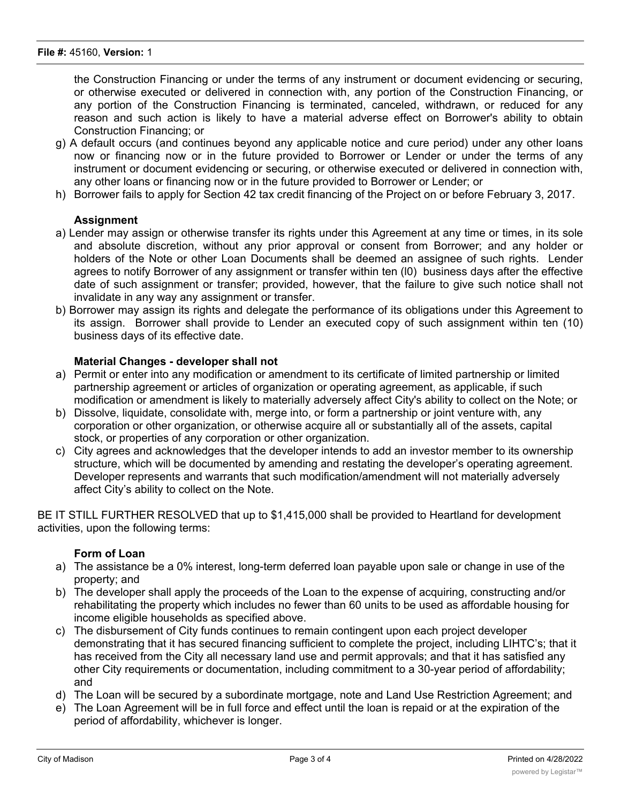the Construction Financing or under the terms of any instrument or document evidencing or securing, or otherwise executed or delivered in connection with, any portion of the Construction Financing, or any portion of the Construction Financing is terminated, canceled, withdrawn, or reduced for any reason and such action is likely to have a material adverse effect on Borrower's ability to obtain Construction Financing; or

- g) A default occurs (and continues beyond any applicable notice and cure period) under any other loans now or financing now or in the future provided to Borrower or Lender or under the terms of any instrument or document evidencing or securing, or otherwise executed or delivered in connection with, any other loans or financing now or in the future provided to Borrower or Lender; or
- h) Borrower fails to apply for Section 42 tax credit financing of the Project on or before February 3, 2017.

## **Assignment**

- a) Lender may assign or otherwise transfer its rights under this Agreement at any time or times, in its sole and absolute discretion, without any prior approval or consent from Borrower; and any holder or holders of the Note or other Loan Documents shall be deemed an assignee of such rights. Lender agrees to notify Borrower of any assignment or transfer within ten (l0) business days after the effective date of such assignment or transfer; provided, however, that the failure to give such notice shall not invalidate in any way any assignment or transfer.
- b) Borrower may assign its rights and delegate the performance of its obligations under this Agreement to its assign. Borrower shall provide to Lender an executed copy of such assignment within ten (10) business days of its effective date.

## **Material Changes - developer shall not**

- a) Permit or enter into any modification or amendment to its certificate of limited partnership or limited partnership agreement or articles of organization or operating agreement, as applicable, if such modification or amendment is likely to materially adversely affect City's ability to collect on the Note; or
- b) Dissolve, liquidate, consolidate with, merge into, or form a partnership or joint venture with, any corporation or other organization, or otherwise acquire all or substantially all of the assets, capital stock, or properties of any corporation or other organization.
- c) City agrees and acknowledges that the developer intends to add an investor member to its ownership structure, which will be documented by amending and restating the developer's operating agreement. Developer represents and warrants that such modification/amendment will not materially adversely affect City's ability to collect on the Note.

BE IT STILL FURTHER RESOLVED that up to \$1,415,000 shall be provided to Heartland for development activities, upon the following terms:

## **Form of Loan**

- a) The assistance be a 0% interest, long-term deferred loan payable upon sale or change in use of the property; and
- b) The developer shall apply the proceeds of the Loan to the expense of acquiring, constructing and/or rehabilitating the property which includes no fewer than 60 units to be used as affordable housing for income eligible households as specified above.
- c) The disbursement of City funds continues to remain contingent upon each project developer demonstrating that it has secured financing sufficient to complete the project, including LIHTC's; that it has received from the City all necessary land use and permit approvals; and that it has satisfied any other City requirements or documentation, including commitment to a 30-year period of affordability; and
- d) The Loan will be secured by a subordinate mortgage, note and Land Use Restriction Agreement; and
- e) The Loan Agreement will be in full force and effect until the loan is repaid or at the expiration of the period of affordability, whichever is longer.